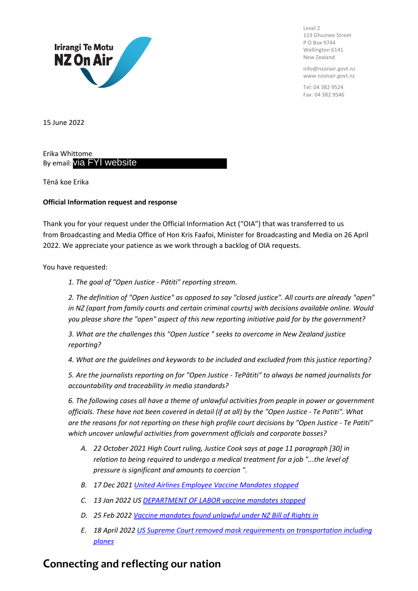

Level 2 119 Ghuznee Street P O Box 9744 Wellington 6141 New Zealand

info@nzonair.govt.nz www.nzonair.govt.nz

Tel: 04 382 9524 Fax: 04 382 9546

15 June 2022

Erika Whittome ву email: via FYI website

Tēnā koe Erika

## **Official Information request and response**

Thank you for your request under the Official Information Act ("OIA") that was transferred to us from Broadcasting and Media Office of Hon Kris Faafoi, Minister for Broadcasting and Media on 26 April 2022. We appreciate your patience as we work through a backlog of OIA requests.

You have requested:

*1. The goal of "Open Justice - Pātiti" reporting stream.*

*2. The definition of "Open Justice" as opposed to say "closed justice". All courts are already "open" in NZ (apart from family courts and certain criminal courts) with decisions available online. Would you please share the "open" aspect of this new reporting initiative paid for by the government?*

*3. What are the challenges this "Open Justice " seeks to overcome in New Zealand justice reporting?*

*4. What are the guidelines and keywords to be included and excluded from this justice reporting?*

*5. Are the journalists reporting on for "Open Justice - TePātiti" to always be named journalists for accountability and traceability in media standards?*

*6. The following cases all have a theme of unlawful activities from people in power or government officials. These have not been covered in detail (if at all) by the "Open Justice - Te Patiti". What*  are the reasons for not reporting on these high profile court decisions by "Open Justice - Te Patiti" *which uncover unlawful activities from government officials and corporate bosses?*

- *A. 22 October 2021 High Court ruling, Justice Cook says at page 11 paragraph [30] in relation to being required to undergo a medical treatment for a job "...the level of pressure is significant and amounts to coercion ".*
- *B. 17 Dec 2021 United Airlines Employee Vaccine Mandates stopped*
- *C. 13 Jan 2022 US DEPARTMENT OF LABOR vaccine mandates stopped*
- *D. 25 Feb 2022 Vaccine mandates found unlawful under NZ Bill of Rights in*
- *E. 18 April 2022 US Supreme Court removed mask requirements on transportation including planes*

## **Connecting and reflecting our nation**